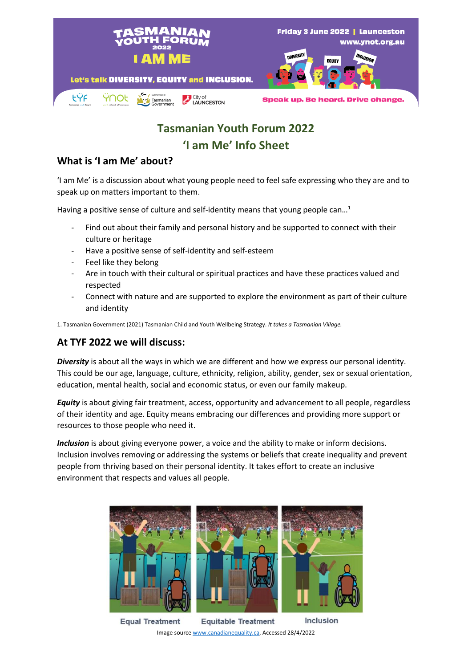

# **Tasmanian Youth Forum 2022 'I am Me' Info Sheet**

# **What is 'I am Me' about?**

'I am Me' is a discussion about what young people need to feel safe expressing who they are and to speak up on matters important to them.

Having a positive sense of culture and self-identity means that young people can...<sup>1</sup>

- Find out about their family and personal history and be supported to connect with their culture or heritage
- Have a positive sense of self-identity and self-esteem
- Feel like they belong
- Are in touch with their cultural or spiritual practices and have these practices valued and respected
- Connect with nature and are supported to explore the environment as part of their culture and identity

1. Tasmanian Government (2021) Tasmanian Child and Youth Wellbeing Strategy. *It takes a Tasmanian Village.*

#### **At TYF 2022 we will discuss:**

*Diversity* is about all the ways in which we are different and how we express our personal identity. This could be our age, language, culture, ethnicity, religion, ability, gender, sex or sexual orientation, education, mental health, social and economic status, or even our family makeup.

*Equity* is about giving fair treatment, access, opportunity and advancement to all people, regardless of their identity and age. Equity means embracing our differences and providing more support or resources to those people who need it.

*Inclusion* is about giving everyone power, a voice and the ability to make or inform decisions. Inclusion involves removing or addressing the systems or beliefs that create inequality and prevent people from thriving based on their personal identity. It takes effort to create an inclusive environment that respects and values all people.



Inclusion **Equitable Treatment Equal Treatment** Image sourc[e www.canadianequality.ca,](http://www.canadianequality.ca/) Accessed 28/4/2022